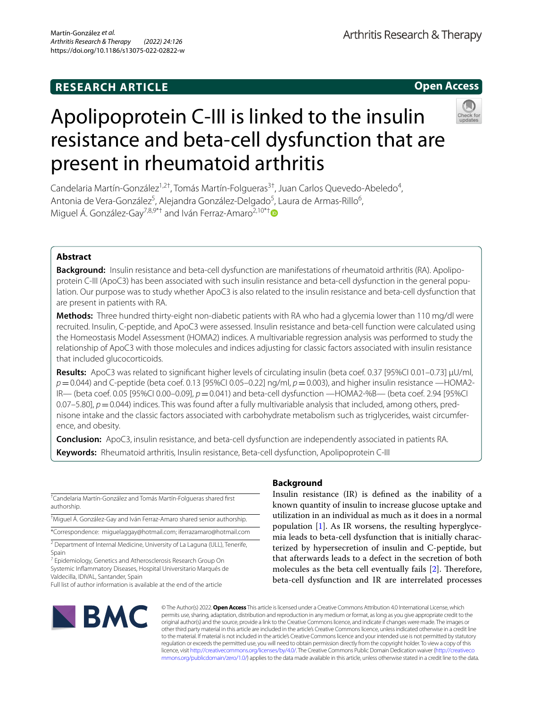# **RESEARCH ARTICLE**



# Apolipoprotein C‑III is linked to the insulin resistance and beta‑cell dysfunction that are present in rheumatoid arthritis



Candelaria Martín-González<sup>1,2†</sup>, Tomás Martín-Folgueras<sup>3†</sup>, Juan Carlos Quevedo-Abeledo<sup>4</sup>, Antonia de Vera-González<sup>5</sup>, Alejandra González-Delgado<sup>5</sup>, Laura de Armas-Rillo<sup>6</sup>, Miguel Á. González-Gav<sup>7,8,9\*†</sup> and Iván Ferraz-Amaro<sup>2,10\*†</sup>

# **Abstract**

**Background:** Insulin resistance and beta-cell dysfunction are manifestations of rheumatoid arthritis (RA). Apolipoprotein C-III (ApoC3) has been associated with such insulin resistance and beta-cell dysfunction in the general population. Our purpose was to study whether ApoC3 is also related to the insulin resistance and beta-cell dysfunction that are present in patients with RA.

**Methods:** Three hundred thirty-eight non-diabetic patients with RA who had a glycemia lower than 110 mg/dl were recruited. Insulin, C-peptide, and ApoC3 were assessed. Insulin resistance and beta-cell function were calculated using the Homeostasis Model Assessment (HOMA2) indices. A multivariable regression analysis was performed to study the relationship of ApoC3 with those molecules and indices adjusting for classic factors associated with insulin resistance that included glucocorticoids.

**Results:** ApoC3 was related to signifcant higher levels of circulating insulin (beta coef. 0.37 [95%CI 0.01–0.73] µU/ml, *p*=0.044) and C-peptide (beta coef. 0.13 [95%CI 0.05–0.22] ng/ml, *p*=0.003), and higher insulin resistance —HOMA2-IR— (beta coef. 0.05 [95%CI 0.00–0.09], *p*=0.041) and beta-cell dysfunction —HOMA2-%B— (beta coef. 2.94 [95%CI 0.07–5.80],  $p=0.044$ ) indices. This was found after a fully multivariable analysis that included, among others, prednisone intake and the classic factors associated with carbohydrate metabolism such as triglycerides, waist circumference, and obesity.

**Conclusion:** ApoC3, insulin resistance, and beta-cell dysfunction are independently associated in patients RA. **Keywords:** Rheumatoid arthritis, Insulin resistance, Beta-cell dysfunction, Apolipoprotein C-III

|             | <sup>†</sup> Candelaria Martín-González and Tomás Martín-Folgueras shared first |  |  |
|-------------|---------------------------------------------------------------------------------|--|--|
| authorship. |                                                                                 |  |  |

† Miguel Á. González-Gay and Iván Ferraz-Amaro shared senior authorship.

\*Correspondence: miguelaggay@hotmail.com; iferrazamaro@hotmail.com

<sup>2</sup> Department of Internal Medicine, University of La Laguna (ULL), Tenerife, Spain

<sup>7</sup> Epidemiology, Genetics and Atherosclerosis Research Group On Systemic Infammatory Diseases, Hospital Universitario Marqués de Valdecilla, IDIVAL, Santander, Spain

Full list of author information is available at the end of the article



# **Background**

Insulin resistance (IR) is defned as the inability of a known quantity of insulin to increase glucose uptake and utilization in an individual as much as it does in a normal population [[1\]](#page-6-0). As IR worsens, the resulting hyperglycemia leads to beta-cell dysfunction that is initially characterized by hypersecretion of insulin and C-peptide, but that afterwards leads to a defect in the secretion of both molecules as the beta cell eventually fails  $[2]$ . Therefore, beta-cell dysfunction and IR are interrelated processes

© The Author(s) 2022. **Open Access** This article is licensed under a Creative Commons Attribution 4.0 International License, which permits use, sharing, adaptation, distribution and reproduction in any medium or format, as long as you give appropriate credit to the original author(s) and the source, provide a link to the Creative Commons licence, and indicate if changes were made. The images or other third party material in this article are included in the article's Creative Commons licence, unless indicated otherwise in a credit line to the material. If material is not included in the article's Creative Commons licence and your intended use is not permitted by statutory regulation or exceeds the permitted use, you will need to obtain permission directly from the copyright holder. To view a copy of this licence, visit [http://creativecommons.org/licenses/by/4.0/.](http://creativecommons.org/licenses/by/4.0/) The Creative Commons Public Domain Dedication waiver ([http://creativeco](http://creativecommons.org/publicdomain/zero/1.0/) [mmons.org/publicdomain/zero/1.0/](http://creativecommons.org/publicdomain/zero/1.0/)) applies to the data made available in this article, unless otherwise stated in a credit line to the data.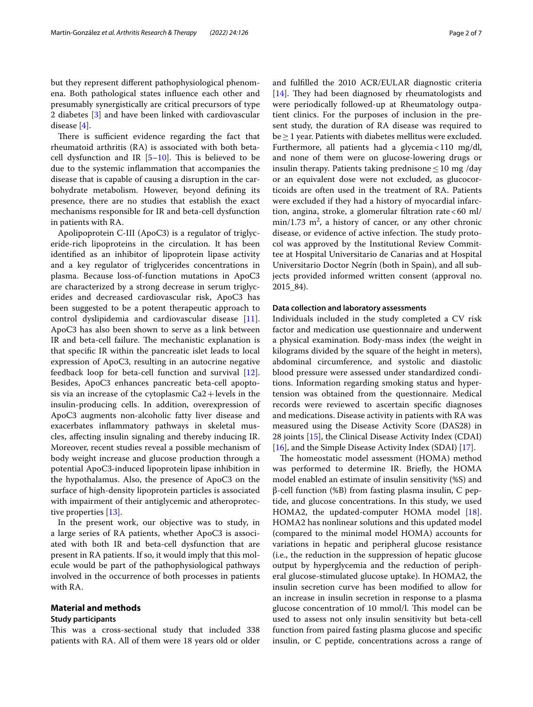but they represent diferent pathophysiological phenomena. Both pathological states infuence each other and presumably synergistically are critical precursors of type 2 diabetes [\[3](#page-6-2)] and have been linked with cardiovascular disease [\[4](#page-6-3)].

There is sufficient evidence regarding the fact that rheumatoid arthritis (RA) is associated with both betacell dysfunction and IR  $[5-10]$  $[5-10]$ . This is believed to be due to the systemic infammation that accompanies the disease that is capable of causing a disruption in the carbohydrate metabolism. However, beyond defning its presence, there are no studies that establish the exact mechanisms responsible for IR and beta-cell dysfunction in patients with RA.

Apolipoprotein C-III (ApoC3) is a regulator of triglyceride-rich lipoproteins in the circulation. It has been identifed as an inhibitor of lipoprotein lipase activity and a key regulator of triglycerides concentrations in plasma. Because loss-of-function mutations in ApoC3 are characterized by a strong decrease in serum triglycerides and decreased cardiovascular risk, ApoC3 has been suggested to be a potent therapeutic approach to control dyslipidemia and cardiovascular disease [\[11](#page-6-6)]. ApoC3 has also been shown to serve as a link between IR and beta-cell failure. The mechanistic explanation is that specifc IR within the pancreatic islet leads to local expression of ApoC3, resulting in an autocrine negative feedback loop for beta-cell function and survival [\[12](#page-6-7)]. Besides, ApoC3 enhances pancreatic beta-cell apoptosis via an increase of the cytoplasmic  $Ca2 + levels$  in the insulin-producing cells. In addition, overexpression of ApoC3 augments non-alcoholic fatty liver disease and exacerbates infammatory pathways in skeletal muscles, afecting insulin signaling and thereby inducing IR. Moreover, recent studies reveal a possible mechanism of body weight increase and glucose production through a potential ApoC3-induced lipoprotein lipase inhibition in the hypothalamus. Also, the presence of ApoC3 on the surface of high-density lipoprotein particles is associated with impairment of their antiglycemic and atheroprotective properties [\[13](#page-6-8)].

In the present work, our objective was to study, in a large series of RA patients, whether ApoC3 is associated with both IR and beta-cell dysfunction that are present in RA patients. If so, it would imply that this molecule would be part of the pathophysiological pathways involved in the occurrence of both processes in patients with RA.

## **Material and methods**

## **Study participants**

This was a cross-sectional study that included 338 patients with RA. All of them were 18 years old or older and fulflled the 2010 ACR/EULAR diagnostic criteria  $[14]$  $[14]$ . They had been diagnosed by rheumatologists and were periodically followed-up at Rheumatology outpatient clinics. For the purposes of inclusion in the present study, the duration of RA disease was required to  $be \geq 1$  year. Patients with diabetes mellitus were excluded. Furthermore, all patients had a glycemia<110 mg/dl, and none of them were on glucose-lowering drugs or insulin therapy. Patients taking prednisone  $\leq 10$  mg /day or an equivalent dose were not excluded, as glucocorticoids are often used in the treatment of RA. Patients were excluded if they had a history of myocardial infarction, angina, stroke, a glomerular fltration rate<60 ml/  $min/1.73$   $m^2$ , a history of cancer, or any other chronic disease, or evidence of active infection. The study protocol was approved by the Institutional Review Committee at Hospital Universitario de Canarias and at Hospital Universitario Doctor Negrín (both in Spain), and all subjects provided informed written consent (approval no. 2015\_84).

## **Data collection and laboratory assessments**

Individuals included in the study completed a CV risk factor and medication use questionnaire and underwent a physical examination. Body-mass index (the weight in kilograms divided by the square of the height in meters), abdominal circumference, and systolic and diastolic blood pressure were assessed under standardized conditions. Information regarding smoking status and hypertension was obtained from the questionnaire. Medical records were reviewed to ascertain specifc diagnoses and medications. Disease activity in patients with RA was measured using the Disease Activity Score (DAS28) in 28 joints [[15\]](#page-6-10), the Clinical Disease Activity Index (CDAI) [[16\]](#page-6-11), and the Simple Disease Activity Index (SDAI) [\[17](#page-6-12)].

The homeostatic model assessment (HOMA) method was performed to determine IR. Briefy, the HOMA model enabled an estimate of insulin sensitivity (%S) and β-cell function (%B) from fasting plasma insulin, C peptide, and glucose concentrations. In this study, we used HOMA2, the updated-computer HOMA model [\[18](#page-6-13)]. HOMA2 has nonlinear solutions and this updated model (compared to the minimal model HOMA) accounts for variations in hepatic and peripheral glucose resistance (i.e., the reduction in the suppression of hepatic glucose output by hyperglycemia and the reduction of peripheral glucose-stimulated glucose uptake). In HOMA2, the insulin secretion curve has been modifed to allow for an increase in insulin secretion in response to a plasma glucose concentration of 10 mmol/l. This model can be used to assess not only insulin sensitivity but beta-cell function from paired fasting plasma glucose and specifc insulin, or C peptide, concentrations across a range of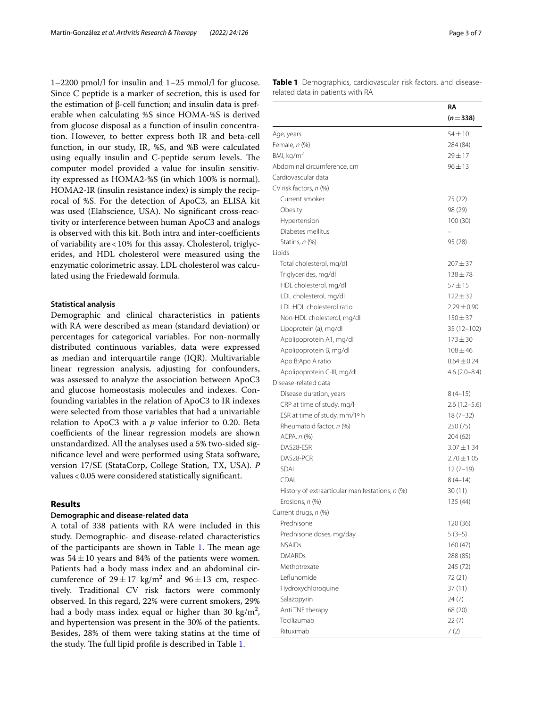1–2200 pmol/l for insulin and 1–25 mmol/l for glucose. Since C peptide is a marker of secretion, this is used for the estimation of β-cell function; and insulin data is preferable when calculating %S since HOMA-%S is derived from glucose disposal as a function of insulin concentration. However, to better express both IR and beta-cell function, in our study, IR, %S, and %B were calculated using equally insulin and C-peptide serum levels. The computer model provided a value for insulin sensitivity expressed as HOMA2-%S (in which 100% is normal). HOMA2-IR (insulin resistance index) is simply the reciprocal of %S. For the detection of ApoC3, an ELISA kit was used (Elabscience, USA). No signifcant cross-reactivity or interference between human ApoC3 and analogs is observed with this kit. Both intra and inter-coefficients of variability are<10% for this assay. Cholesterol, triglycerides, and HDL cholesterol were measured using the enzymatic colorimetric assay. LDL cholesterol was calculated using the Friedewald formula.

## **Statistical analysis**

Demographic and clinical characteristics in patients with RA were described as mean (standard deviation) or percentages for categorical variables. For non-normally distributed continuous variables, data were expressed as median and interquartile range (IQR). Multivariable linear regression analysis, adjusting for confounders, was assessed to analyze the association between ApoC3 and glucose homeostasis molecules and indexes. Confounding variables in the relation of ApoC3 to IR indexes were selected from those variables that had a univariable relation to ApoC3 with a *p* value inferior to 0.20. Beta coefficients of the linear regression models are shown unstandardized. All the analyses used a 5% two-sided signifcance level and were performed using Stata software, version 17/SE (StataCorp, College Station, TX, USA). *P* values<0.05 were considered statistically signifcant.

## **Results**

## **Demographic and disease‑related data**

A total of 338 patients with RA were included in this study. Demographic- and disease-related characteristics of the participants are shown in Table  $1$ . The mean age was  $54 \pm 10$  years and 84% of the patients were women. Patients had a body mass index and an abdominal circumference of  $29 \pm 17$  kg/m<sup>2</sup> and  $96 \pm 13$  cm, respectively. Traditional CV risk factors were commonly observed. In this regard, 22% were current smokers, 29% had a body mass index equal or higher than 30  $\text{kg/m}^2$ , and hypertension was present in the 30% of the patients. Besides, 28% of them were taking statins at the time of the study. The full lipid profile is described in Table [1.](#page-2-0)

<span id="page-2-0"></span>**Table 1** Demographics, cardiovascular risk factors, and diseaserelated data in patients with RA

| $(n=338)$<br>$54 \pm 10$<br>Age, years<br>Female, n (%)<br>284 (84)<br>BMI, $kg/m2$<br>$29 + 17$<br>Abdominal circumference, cm<br>$96 \pm 13$<br>Cardiovascular data<br>CV risk factors, n (%)<br>Current smoker<br>75 (22)<br>Obesity<br>98 (29)<br>Hypertension<br>100(30)<br>Diabetes mellitus<br>Statins, n (%)<br>95 (28)<br>Lipids<br>Total cholesterol, mg/dl<br>$207 + 37$<br>Triglycerides, mg/dl<br>$138 + 78$<br>HDL cholesterol, mg/dl<br>$57 + 15$<br>LDL cholesterol, mg/dl<br>$122 + 32$<br>LDL:HDL cholesterol ratio<br>$2.29 \pm 0.90$<br>Non-HDL cholesterol, mg/dl<br>$150 + 37$<br>Lipoprotein (a), mg/dl<br>$35(12-102)$<br>Apolipoprotein A1, mg/dl<br>$173 \pm 30$<br>Apolipoprotein B, mg/dl<br>$108 + 46$<br>Apo B:Apo A ratio<br>$0.64 \pm 0.24$<br>Apolipoprotein C-III, mg/dl<br>$4.6(2.0 - 8.4)$<br>Disease-related data<br>Disease duration, years<br>$8(4-15)$<br>CRP at time of study, mg/l<br>$2.6(1.2-5.6)$<br>ESR at time of study, mm/1° h<br>$18(7-32)$<br>Rheumatoid factor, n (%)<br>250 (75)<br>ACPA, n (%)<br>204 (62)<br>DAS28-ESR<br>$3.07 \pm 1.34$<br>DAS28-PCR<br>$2.70 \pm 1.05$<br><b>SDAI</b><br>$12(7 - 19)$<br><b>CDAI</b><br>$8(4-14)$<br>History of extraarticular manifestations, n (%)<br>30(11)<br>135 (44)<br>Erosions, n (%)<br>Current drugs, n (%)<br>Prednisone<br>120 (36)<br>Prednisone doses, mg/day<br>$5(3-5)$<br><b>NSAIDs</b><br>160(47)<br><b>DMARDs</b><br>288 (85)<br>Methotrexate<br>245 (72)<br>I eflunomide<br>72 (21)<br>Hydroxychloroquine<br>37(11)<br>Salazopyrin<br>24(7)<br>Anti TNF therapy<br>68 (20)<br>Tocilizumab<br>22(7)<br>Rituximab<br>7(2) | RA |
|---------------------------------------------------------------------------------------------------------------------------------------------------------------------------------------------------------------------------------------------------------------------------------------------------------------------------------------------------------------------------------------------------------------------------------------------------------------------------------------------------------------------------------------------------------------------------------------------------------------------------------------------------------------------------------------------------------------------------------------------------------------------------------------------------------------------------------------------------------------------------------------------------------------------------------------------------------------------------------------------------------------------------------------------------------------------------------------------------------------------------------------------------------------------------------------------------------------------------------------------------------------------------------------------------------------------------------------------------------------------------------------------------------------------------------------------------------------------------------------------------------------------------------------------------------------------------------------------------------------------------------------|----|
|                                                                                                                                                                                                                                                                                                                                                                                                                                                                                                                                                                                                                                                                                                                                                                                                                                                                                                                                                                                                                                                                                                                                                                                                                                                                                                                                                                                                                                                                                                                                                                                                                                       |    |
|                                                                                                                                                                                                                                                                                                                                                                                                                                                                                                                                                                                                                                                                                                                                                                                                                                                                                                                                                                                                                                                                                                                                                                                                                                                                                                                                                                                                                                                                                                                                                                                                                                       |    |
|                                                                                                                                                                                                                                                                                                                                                                                                                                                                                                                                                                                                                                                                                                                                                                                                                                                                                                                                                                                                                                                                                                                                                                                                                                                                                                                                                                                                                                                                                                                                                                                                                                       |    |
|                                                                                                                                                                                                                                                                                                                                                                                                                                                                                                                                                                                                                                                                                                                                                                                                                                                                                                                                                                                                                                                                                                                                                                                                                                                                                                                                                                                                                                                                                                                                                                                                                                       |    |
|                                                                                                                                                                                                                                                                                                                                                                                                                                                                                                                                                                                                                                                                                                                                                                                                                                                                                                                                                                                                                                                                                                                                                                                                                                                                                                                                                                                                                                                                                                                                                                                                                                       |    |
|                                                                                                                                                                                                                                                                                                                                                                                                                                                                                                                                                                                                                                                                                                                                                                                                                                                                                                                                                                                                                                                                                                                                                                                                                                                                                                                                                                                                                                                                                                                                                                                                                                       |    |
|                                                                                                                                                                                                                                                                                                                                                                                                                                                                                                                                                                                                                                                                                                                                                                                                                                                                                                                                                                                                                                                                                                                                                                                                                                                                                                                                                                                                                                                                                                                                                                                                                                       |    |
|                                                                                                                                                                                                                                                                                                                                                                                                                                                                                                                                                                                                                                                                                                                                                                                                                                                                                                                                                                                                                                                                                                                                                                                                                                                                                                                                                                                                                                                                                                                                                                                                                                       |    |
|                                                                                                                                                                                                                                                                                                                                                                                                                                                                                                                                                                                                                                                                                                                                                                                                                                                                                                                                                                                                                                                                                                                                                                                                                                                                                                                                                                                                                                                                                                                                                                                                                                       |    |
|                                                                                                                                                                                                                                                                                                                                                                                                                                                                                                                                                                                                                                                                                                                                                                                                                                                                                                                                                                                                                                                                                                                                                                                                                                                                                                                                                                                                                                                                                                                                                                                                                                       |    |
|                                                                                                                                                                                                                                                                                                                                                                                                                                                                                                                                                                                                                                                                                                                                                                                                                                                                                                                                                                                                                                                                                                                                                                                                                                                                                                                                                                                                                                                                                                                                                                                                                                       |    |
|                                                                                                                                                                                                                                                                                                                                                                                                                                                                                                                                                                                                                                                                                                                                                                                                                                                                                                                                                                                                                                                                                                                                                                                                                                                                                                                                                                                                                                                                                                                                                                                                                                       |    |
|                                                                                                                                                                                                                                                                                                                                                                                                                                                                                                                                                                                                                                                                                                                                                                                                                                                                                                                                                                                                                                                                                                                                                                                                                                                                                                                                                                                                                                                                                                                                                                                                                                       |    |
|                                                                                                                                                                                                                                                                                                                                                                                                                                                                                                                                                                                                                                                                                                                                                                                                                                                                                                                                                                                                                                                                                                                                                                                                                                                                                                                                                                                                                                                                                                                                                                                                                                       |    |
|                                                                                                                                                                                                                                                                                                                                                                                                                                                                                                                                                                                                                                                                                                                                                                                                                                                                                                                                                                                                                                                                                                                                                                                                                                                                                                                                                                                                                                                                                                                                                                                                                                       |    |
|                                                                                                                                                                                                                                                                                                                                                                                                                                                                                                                                                                                                                                                                                                                                                                                                                                                                                                                                                                                                                                                                                                                                                                                                                                                                                                                                                                                                                                                                                                                                                                                                                                       |    |
|                                                                                                                                                                                                                                                                                                                                                                                                                                                                                                                                                                                                                                                                                                                                                                                                                                                                                                                                                                                                                                                                                                                                                                                                                                                                                                                                                                                                                                                                                                                                                                                                                                       |    |
|                                                                                                                                                                                                                                                                                                                                                                                                                                                                                                                                                                                                                                                                                                                                                                                                                                                                                                                                                                                                                                                                                                                                                                                                                                                                                                                                                                                                                                                                                                                                                                                                                                       |    |
|                                                                                                                                                                                                                                                                                                                                                                                                                                                                                                                                                                                                                                                                                                                                                                                                                                                                                                                                                                                                                                                                                                                                                                                                                                                                                                                                                                                                                                                                                                                                                                                                                                       |    |
|                                                                                                                                                                                                                                                                                                                                                                                                                                                                                                                                                                                                                                                                                                                                                                                                                                                                                                                                                                                                                                                                                                                                                                                                                                                                                                                                                                                                                                                                                                                                                                                                                                       |    |
|                                                                                                                                                                                                                                                                                                                                                                                                                                                                                                                                                                                                                                                                                                                                                                                                                                                                                                                                                                                                                                                                                                                                                                                                                                                                                                                                                                                                                                                                                                                                                                                                                                       |    |
|                                                                                                                                                                                                                                                                                                                                                                                                                                                                                                                                                                                                                                                                                                                                                                                                                                                                                                                                                                                                                                                                                                                                                                                                                                                                                                                                                                                                                                                                                                                                                                                                                                       |    |
|                                                                                                                                                                                                                                                                                                                                                                                                                                                                                                                                                                                                                                                                                                                                                                                                                                                                                                                                                                                                                                                                                                                                                                                                                                                                                                                                                                                                                                                                                                                                                                                                                                       |    |
|                                                                                                                                                                                                                                                                                                                                                                                                                                                                                                                                                                                                                                                                                                                                                                                                                                                                                                                                                                                                                                                                                                                                                                                                                                                                                                                                                                                                                                                                                                                                                                                                                                       |    |
|                                                                                                                                                                                                                                                                                                                                                                                                                                                                                                                                                                                                                                                                                                                                                                                                                                                                                                                                                                                                                                                                                                                                                                                                                                                                                                                                                                                                                                                                                                                                                                                                                                       |    |
|                                                                                                                                                                                                                                                                                                                                                                                                                                                                                                                                                                                                                                                                                                                                                                                                                                                                                                                                                                                                                                                                                                                                                                                                                                                                                                                                                                                                                                                                                                                                                                                                                                       |    |
|                                                                                                                                                                                                                                                                                                                                                                                                                                                                                                                                                                                                                                                                                                                                                                                                                                                                                                                                                                                                                                                                                                                                                                                                                                                                                                                                                                                                                                                                                                                                                                                                                                       |    |
|                                                                                                                                                                                                                                                                                                                                                                                                                                                                                                                                                                                                                                                                                                                                                                                                                                                                                                                                                                                                                                                                                                                                                                                                                                                                                                                                                                                                                                                                                                                                                                                                                                       |    |
|                                                                                                                                                                                                                                                                                                                                                                                                                                                                                                                                                                                                                                                                                                                                                                                                                                                                                                                                                                                                                                                                                                                                                                                                                                                                                                                                                                                                                                                                                                                                                                                                                                       |    |
|                                                                                                                                                                                                                                                                                                                                                                                                                                                                                                                                                                                                                                                                                                                                                                                                                                                                                                                                                                                                                                                                                                                                                                                                                                                                                                                                                                                                                                                                                                                                                                                                                                       |    |
|                                                                                                                                                                                                                                                                                                                                                                                                                                                                                                                                                                                                                                                                                                                                                                                                                                                                                                                                                                                                                                                                                                                                                                                                                                                                                                                                                                                                                                                                                                                                                                                                                                       |    |
|                                                                                                                                                                                                                                                                                                                                                                                                                                                                                                                                                                                                                                                                                                                                                                                                                                                                                                                                                                                                                                                                                                                                                                                                                                                                                                                                                                                                                                                                                                                                                                                                                                       |    |
|                                                                                                                                                                                                                                                                                                                                                                                                                                                                                                                                                                                                                                                                                                                                                                                                                                                                                                                                                                                                                                                                                                                                                                                                                                                                                                                                                                                                                                                                                                                                                                                                                                       |    |
|                                                                                                                                                                                                                                                                                                                                                                                                                                                                                                                                                                                                                                                                                                                                                                                                                                                                                                                                                                                                                                                                                                                                                                                                                                                                                                                                                                                                                                                                                                                                                                                                                                       |    |
|                                                                                                                                                                                                                                                                                                                                                                                                                                                                                                                                                                                                                                                                                                                                                                                                                                                                                                                                                                                                                                                                                                                                                                                                                                                                                                                                                                                                                                                                                                                                                                                                                                       |    |
|                                                                                                                                                                                                                                                                                                                                                                                                                                                                                                                                                                                                                                                                                                                                                                                                                                                                                                                                                                                                                                                                                                                                                                                                                                                                                                                                                                                                                                                                                                                                                                                                                                       |    |
|                                                                                                                                                                                                                                                                                                                                                                                                                                                                                                                                                                                                                                                                                                                                                                                                                                                                                                                                                                                                                                                                                                                                                                                                                                                                                                                                                                                                                                                                                                                                                                                                                                       |    |
|                                                                                                                                                                                                                                                                                                                                                                                                                                                                                                                                                                                                                                                                                                                                                                                                                                                                                                                                                                                                                                                                                                                                                                                                                                                                                                                                                                                                                                                                                                                                                                                                                                       |    |
|                                                                                                                                                                                                                                                                                                                                                                                                                                                                                                                                                                                                                                                                                                                                                                                                                                                                                                                                                                                                                                                                                                                                                                                                                                                                                                                                                                                                                                                                                                                                                                                                                                       |    |
|                                                                                                                                                                                                                                                                                                                                                                                                                                                                                                                                                                                                                                                                                                                                                                                                                                                                                                                                                                                                                                                                                                                                                                                                                                                                                                                                                                                                                                                                                                                                                                                                                                       |    |
|                                                                                                                                                                                                                                                                                                                                                                                                                                                                                                                                                                                                                                                                                                                                                                                                                                                                                                                                                                                                                                                                                                                                                                                                                                                                                                                                                                                                                                                                                                                                                                                                                                       |    |
|                                                                                                                                                                                                                                                                                                                                                                                                                                                                                                                                                                                                                                                                                                                                                                                                                                                                                                                                                                                                                                                                                                                                                                                                                                                                                                                                                                                                                                                                                                                                                                                                                                       |    |
|                                                                                                                                                                                                                                                                                                                                                                                                                                                                                                                                                                                                                                                                                                                                                                                                                                                                                                                                                                                                                                                                                                                                                                                                                                                                                                                                                                                                                                                                                                                                                                                                                                       |    |
|                                                                                                                                                                                                                                                                                                                                                                                                                                                                                                                                                                                                                                                                                                                                                                                                                                                                                                                                                                                                                                                                                                                                                                                                                                                                                                                                                                                                                                                                                                                                                                                                                                       |    |
|                                                                                                                                                                                                                                                                                                                                                                                                                                                                                                                                                                                                                                                                                                                                                                                                                                                                                                                                                                                                                                                                                                                                                                                                                                                                                                                                                                                                                                                                                                                                                                                                                                       |    |
|                                                                                                                                                                                                                                                                                                                                                                                                                                                                                                                                                                                                                                                                                                                                                                                                                                                                                                                                                                                                                                                                                                                                                                                                                                                                                                                                                                                                                                                                                                                                                                                                                                       |    |
|                                                                                                                                                                                                                                                                                                                                                                                                                                                                                                                                                                                                                                                                                                                                                                                                                                                                                                                                                                                                                                                                                                                                                                                                                                                                                                                                                                                                                                                                                                                                                                                                                                       |    |
|                                                                                                                                                                                                                                                                                                                                                                                                                                                                                                                                                                                                                                                                                                                                                                                                                                                                                                                                                                                                                                                                                                                                                                                                                                                                                                                                                                                                                                                                                                                                                                                                                                       |    |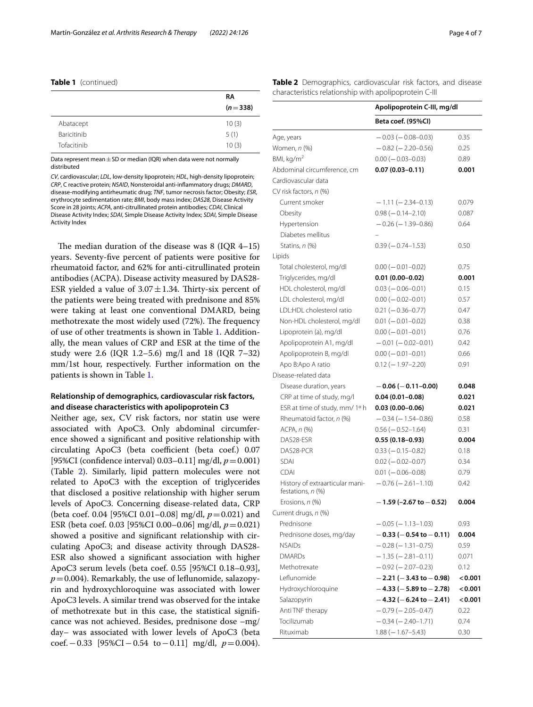|  | Table 1 (continued) |
|--|---------------------|
|--|---------------------|

|                    | RA        |
|--------------------|-----------|
|                    | $(n=338)$ |
| Abatacept          | 10(3)     |
| <b>Baricitinib</b> | 5(1)      |
| Tofacitinib        | 10(3)     |

Data represent mean  $\pm$  SD or median (IQR) when data were not normally distributed

*CV*, cardiovascular; *LDL*, low-density lipoprotein; *HDL*, high-density lipoprotein; *CRP*, C reactive protein; *NSAID*, Nonsteroidal anti-infammatory drugs; *DMARD*, disease-modifying antirheumatic drug; *TNF*, tumor necrosis factor; Obesity; *ESR*, erythrocyte sedimentation rate; *BMI*, body mass index; *DAS28*, Disease Activity Score in 28 joints; *ACPA*, anti-citrullinated protein antibodies; *CDAI*, Clinical Disease Activity Index; *SDAI*, Simple Disease Activity Index; *SDAI*, Simple Disease Activity Index

The median duration of the disease was  $8$  (IQR 4–15) years. Seventy-fve percent of patients were positive for rheumatoid factor, and 62% for anti-citrullinated protein antibodies (ACPA). Disease activity measured by DAS28- ESR yielded a value of  $3.07 \pm 1.34$ . Thirty-six percent of the patients were being treated with prednisone and 85% were taking at least one conventional DMARD, being methotrexate the most widely used (72%). The frequency of use of other treatments is shown in Table [1.](#page-2-0) Additionally, the mean values of CRP and ESR at the time of the study were 2.6 (IQR 1.2–5.6) mg/l and 18 (IQR 7–32) mm/1st hour, respectively. Further information on the patients is shown in Table [1](#page-2-0).

# **Relationship of demographics, cardiovascular risk factors, and disease characteristics with apolipoprotein C3**

Neither age, sex, CV risk factors, nor statin use were associated with ApoC3. Only abdominal circumference showed a signifcant and positive relationship with circulating ApoC3 (beta coefficient (beta coef.) 0.07 [95%CI (confdence interval) 0.03–0.11] mg/dl, *p*=0.001) (Table [2](#page-3-0)). Similarly, lipid pattern molecules were not related to ApoC3 with the exception of triglycerides that disclosed a positive relationship with higher serum levels of ApoC3. Concerning disease-related data, CRP (beta coef. 0.04 [95%CI 0.01–0.08] mg/dl, *p*=0.021) and ESR (beta coef. 0.03 [95%CI 0.00–0.06] mg/dl, *p*=0.021) showed a positive and signifcant relationship with circulating ApoC3; and disease activity through DAS28- ESR also showed a signifcant association with higher ApoC3 serum levels (beta coef. 0.55 [95%CI 0.18–0.93],  $p=0.004$ ). Remarkably, the use of leflunomide, salazopyrin and hydroxychloroquine was associated with lower ApoC3 levels. A similar trend was observed for the intake of methotrexate but in this case, the statistical signifcance was not achieved. Besides, prednisone dose –mg/ day– was associated with lower levels of ApoC3 (beta coef.−0.33 [95%CI−0.54 to−0.11] mg/dl, *p*=0.004). <span id="page-3-0"></span>**Table 2** Demographics, cardiovascular risk factors, and disease characteristics relationship with apolipoprotein C-III

|                                                      | Apolipoprotein C-III, mg/dl    |         |
|------------------------------------------------------|--------------------------------|---------|
|                                                      | Beta coef. (95%CI)             |         |
| Age, years                                           | $-0.03$ ( $-0.08 - 0.03$ )     | 0.35    |
| Women, n (%)                                         | $-0.82$ ( $-2.20-0.56$ )       | 0.25    |
| BMI, kg/m <sup>2</sup>                               | $0.00 (-0.03 - 0.03)$          | 0.89    |
| Abdominal circumference, cm                          | $0.07(0.03 - 0.11)$            | 0.001   |
| Cardiovascular data                                  |                                |         |
| CV risk factors, n (%)                               |                                |         |
| Current smoker                                       | $-1.11 (-2.34 - 0.13)$         | 0.079   |
| Obesity                                              | $0.98$ ( $-0.14-2.10$ )        | 0.087   |
| Hypertension                                         | $-0.26$ ( $-1.39-0.86$ )       | 0.64    |
| Diabetes mellitus                                    |                                |         |
| Statins, n (%)                                       | $0.39(-0.74-1.53)$             | 0.50    |
| Lipids                                               |                                |         |
| Total cholesterol, mg/dl                             | $0.00 (-0.01 - 0.02)$          | 0.75    |
| Triglycerides, mg/dl                                 | $0.01(0.00 - 0.02)$            | 0.001   |
| HDL cholesterol, mg/dl                               | $0.03 (-0.06 - 0.01)$          | 0.15    |
| LDL cholesterol, mg/dl                               | $0.00 (-0.02 - 0.01)$          | 0.57    |
| <b>IDI:HDI</b> cholesterol ratio                     | $0.21 (-0.36 - 0.77)$          | 0.47    |
| Non-HDL cholesterol, mg/dl                           | $0.01 (-0.01 - 0.02)$          | 0.38    |
| Lipoprotein (a), mg/dl                               | $0.00 (-0.01 - 0.01)$          | 0.76    |
| Apolipoprotein A1, mg/dl                             | $-0.01$ ( $-0.02-0.01$ )       | 0.42    |
| Apolipoprotein B, mg/dl                              | $0.00 (-0.01 - 0.01)$          | 0.66    |
| Apo B:Apo A ratio                                    | $0.12 (-1.97 - 2.20)$          | 0.91    |
| Disease-related data                                 |                                |         |
| Disease duration, years                              | $-0.06$ ( $-0.11$ -0.00)       | 0.048   |
| CRP at time of study, mg/l                           | $0.04(0.01 - 0.08)$            | 0.021   |
| ESR at time of study, mm/ 1º h                       | $0.03(0.00 - 0.06)$            | 0.021   |
| Rheumatoid factor, n (%)                             | $-0.34(-1.54-0.86)$            | 0.58    |
| ACPA, n (%)                                          | $0.56 (-0.52 - 1.64)$          | 0.31    |
| DAS28-ESR                                            | $0.55(0.18-0.93)$              | 0.004   |
| DAS28-PCR                                            | $0.33 (-0.15 - 0.82)$          | 0.18    |
| <b>SDAI</b>                                          | $0.02 (-0.02 - 0.07)$          | 0.34    |
| <b>CDAI</b>                                          | $0.01 (-0.06 - 0.08)$          | 0.79    |
| History of extraarticular mani-<br>festations, n (%) | $-0.76$ ( $-2.61-1.10$ )       | 0.42    |
| Erosions, n (%)                                      | $-1.59$ (-2.67 to $-0.52$ )    | 0.004   |
| Current drugs, n (%)                                 |                                |         |
| Prednisone                                           | $-0.05$ ( $-1.13-1.03$ )       | 0.93    |
| Prednisone doses, mg/day                             | $-0.33$ ( $-0.54$ to $-0.11$ ) | 0.004   |
| <b>NSAIDs</b>                                        | $-0.28$ ( $-1.31-0.75$ )       | 0.59    |
| <b>DMARDs</b>                                        | $-1.35(-2.81-0.11)$            | 0.071   |
| Methotrexate                                         | $-0.92$ ( $-2.07-0.23$ )       | 0.12    |
| Leflunomide                                          | $-2.21$ ( $-3.43$ to $-0.98$ ) | 0.001   |
| Hydroxychloroquine                                   | $-4.33$ ( $-5.89$ to $-2.78$ ) | < 0.001 |
| Salazopyrin                                          | $-4.32$ (-6.24 to -2.41)       | < 0.001 |
| Anti TNF therapy                                     | $-0.79(-2.05-0.47)$            | 0.22    |
| Tocilizumab                                          | $-0.34 (-2.40 - 1.71)$         | 0.74    |
| Rituximab                                            | $1.88 (-1.67 - 5.43)$          | 0.30    |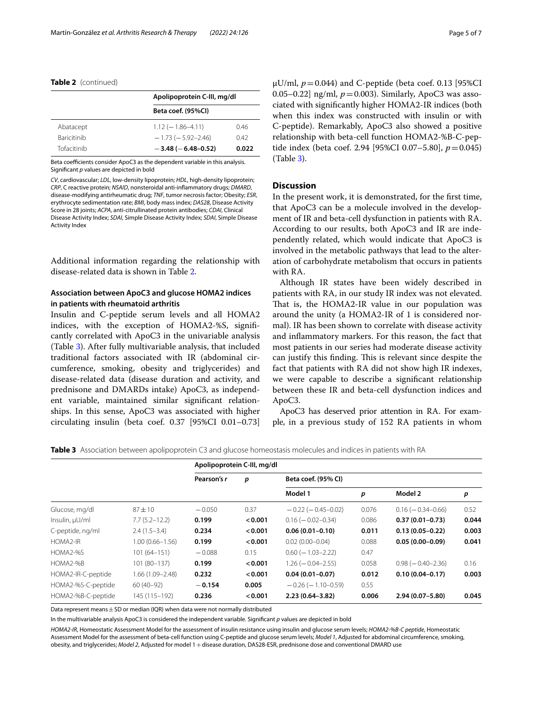## **Table 2** (continued)

|                    | Apolipoprotein C-III, mg/dl |       |  |  |
|--------------------|-----------------------------|-------|--|--|
|                    | Beta coef. (95%Cl)          |       |  |  |
| Abatacept          | $1.12(-1.86-4.11)$          | 0.46  |  |  |
| <b>Baricitinib</b> | $-1.73(-5.92-2.46)$         | 0.42  |  |  |
| Tofacitinib        | $-3.48$ ( $-6.48$ -0.52)    | 0.022 |  |  |

Beta coefficients consider ApoC3 as the dependent variable in this analysis. Signifcant *p* values are depicted in bold

*CV*, cardiovascular; *LDL*, low-density lipoprotein; *HDL*, high-density lipoprotein; *CRP*, C reactive protein; *NSAID*, nonsteroidal anti-infammatory drugs; *DMARD*, disease-modifying antirheumatic drug; *TNF*, tumor necrosis factor; Obesity; *ESR*, erythrocyte sedimentation rate; *BMI*, body mass index; *DAS28*, Disease Activity Score in 28 joints; *ACPA*, anti-citrullinated protein antibodies; *CDAI*, Clinical Disease Activity Index; *SDAI*, Simple Disease Activity Index; *SDAI*, Simple Disease Activity Index

Additional information regarding the relationship with disease-related data is shown in Table [2](#page-3-0).

# **Association between ApoC3 and glucose HOMA2 indices in patients with rheumatoid arthritis**

Insulin and C-peptide serum levels and all HOMA2 indices, with the exception of HOMA2-%S, signifcantly correlated with ApoC3 in the univariable analysis (Table [3\)](#page-4-0). After fully multivariable analysis, that included traditional factors associated with IR (abdominal circumference, smoking, obesity and triglycerides) and disease-related data (disease duration and activity, and prednisone and DMARDs intake) ApoC3, as independent variable, maintained similar signifcant relationships. In this sense, ApoC3 was associated with higher circulating insulin (beta coef. 0.37 [95%CI 0.01–0.73]  $\mu$ U/ml,  $p = 0.044$ ) and C-peptide (beta coef. 0.13 [95%CI 0.05–0.22] ng/ml,  $p = 0.003$ ). Similarly, ApoC3 was associated with signifcantly higher HOMA2-IR indices (both when this index was constructed with insulin or with C-peptide). Remarkably, ApoC3 also showed a positive relationship with beta-cell function HOMA2-%B-C-peptide index (beta coef. 2.94 [95%CI 0.07–5.80], *p*=0.045) (Table [3\)](#page-4-0).

## **Discussion**

In the present work, it is demonstrated, for the frst time, that ApoC3 can be a molecule involved in the development of IR and beta-cell dysfunction in patients with RA. According to our results, both ApoC3 and IR are independently related, which would indicate that ApoC3 is involved in the metabolic pathways that lead to the alteration of carbohydrate metabolism that occurs in patients with RA.

Although IR states have been widely described in patients with RA, in our study IR index was not elevated. That is, the HOMA2-IR value in our population was around the unity (a HOMA2-IR of 1 is considered normal). IR has been shown to correlate with disease activity and infammatory markers. For this reason, the fact that most patients in our series had moderate disease activity can justify this finding. This is relevant since despite the fact that patients with RA did not show high IR indexes, we were capable to describe a signifcant relationship between these IR and beta-cell dysfunction indices and ApoC3.

ApoC3 has deserved prior attention in RA. For example, in a previous study of 152 RA patients in whom

<span id="page-4-0"></span>**Table 3** Association between apolipoprotein C3 and glucose homeostasis molecules and indices in patients with RA

|                    |                     | Apolipoprotein C-III, mg/dl |         |                           |       |                       |       |
|--------------------|---------------------|-----------------------------|---------|---------------------------|-------|-----------------------|-------|
|                    |                     | Pearson's r                 | р       | Beta coef. (95% CI)       |       |                       |       |
|                    |                     |                             |         | Model 1                   | p     | Model 2               | p     |
| Glucose, mg/dl     | $87 + 10$           | $-0.050$                    | 0.37    | $-0.22$ ( $-0.45-0.02$ )  | 0.076 | $0.16 (-0.34 - 0.66)$ | 0.52  |
| Insulin, µU/ml     | $7.7(5.2 - 12.2)$   | 0.199                       | < 0.001 | $0.16 (-0.02 - 0.34)$     | 0.086 | $0.37(0.01 - 0.73)$   | 0.044 |
| C-peptide, ng/ml   | $2.4(1.5-3.4)$      | 0.234                       | < 0.001 | $0.06(0.01 - 0.10)$       | 0.011 | $0.13(0.05 - 0.22)$   | 0.003 |
| HOMA2-IR           | $1.00(0.66 - 1.56)$ | 0.199                       | < 0.001 | $0.02(0.00 - 0.04)$       | 0.088 | $0.05(0.00 - 0.09)$   | 0.041 |
| HOMA2-%S           | $101(64 - 151)$     | $-0.088$                    | 0.15    | $0.60$ ( $-1.03 - 2.22$ ) | 0.47  |                       |       |
| HOMA2-%B           | 101 (80-137)        | 0.199                       | < 0.001 | $1.26 (-0.04 - 2.55)$     | 0.058 | $0.98 (-0.40 - 2.36)$ | 0.16  |
| HOMA2-IR-C-peptide | 1.66 (1.09–2.48)    | 0.232                       | < 0.001 | $0.04(0.01 - 0.07)$       | 0.012 | $0.10(0.04 - 0.17)$   | 0.003 |
| HOMA2-%S-C-peptide | $60(40-92)$         | $-0.154$                    | 0.005   | $-0.26$ ( $-1.10-0.59$ )  | 0.55  |                       |       |
| HOMA2-%B-C-peptide | 145 (115-192)       | 0.236                       | < 0.001 | $2.23(0.64 - 3.82)$       | 0.006 | $2.94(0.07 - 5.80)$   | 0.045 |

Data represent means  $\pm$  SD or median (IQR) when data were not normally distributed

In the multivariable analysis ApoC3 is considered the independent variable. Signifcant *p* values are depicted in bold

*HOMA2-IR*, Homeostatic Assessment Model for the assessment of insulin resistance using insulin and glucose serum levels; *HOMA2-%B-C peptide*, Homeostatic Assessment Model for the assessment of beta-cell function using C-peptide and glucose serum levels; *Model 1*, Adjusted for abdominal circumference, smoking, obesity, and triglycerides; *Model 2*, Adjusted for model 1+disease duration, DAS28-ESR, prednisone dose and conventional DMARD use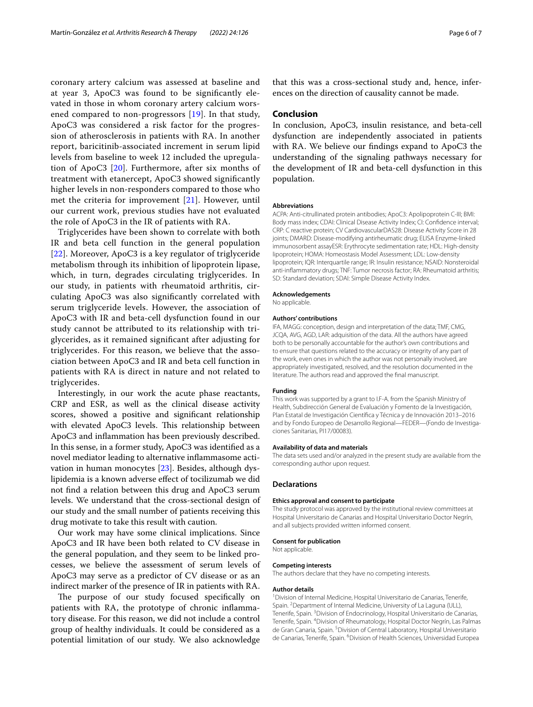coronary artery calcium was assessed at baseline and at year 3, ApoC3 was found to be signifcantly elevated in those in whom coronary artery calcium worsened compared to non-progressors [\[19](#page-6-14)]. In that study, ApoC3 was considered a risk factor for the progression of atherosclerosis in patients with RA. In another report, baricitinib-associated increment in serum lipid levels from baseline to week 12 included the upregulation of ApoC3 [[20](#page-6-15)]. Furthermore, after six months of treatment with etanercept, ApoC3 showed signifcantly higher levels in non-responders compared to those who met the criteria for improvement [[21](#page-6-16)]. However, until our current work, previous studies have not evaluated the role of ApoC3 in the IR of patients with RA.

Triglycerides have been shown to correlate with both IR and beta cell function in the general population [[22](#page-6-17)]. Moreover, ApoC3 is a key regulator of triglyceride metabolism through its inhibition of lipoprotein lipase, which, in turn, degrades circulating triglycerides. In our study, in patients with rheumatoid arthritis, circulating ApoC3 was also signifcantly correlated with serum triglyceride levels. However, the association of ApoC3 with IR and beta-cell dysfunction found in our study cannot be attributed to its relationship with triglycerides, as it remained signifcant after adjusting for triglycerides. For this reason, we believe that the association between ApoC3 and IR and beta cell function in patients with RA is direct in nature and not related to triglycerides.

Interestingly, in our work the acute phase reactants, CRP and ESR, as well as the clinical disease activity scores, showed a positive and signifcant relationship with elevated ApoC3 levels. This relationship between ApoC3 and infammation has been previously described. In this sense, in a former study, ApoC3 was identifed as a novel mediator leading to alternative infammasome activation in human monocytes [\[23](#page-6-18)]. Besides, although dyslipidemia is a known adverse efect of tocilizumab we did not fnd a relation between this drug and ApoC3 serum levels. We understand that the cross-sectional design of our study and the small number of patients receiving this drug motivate to take this result with caution.

Our work may have some clinical implications. Since ApoC3 and IR have been both related to CV disease in the general population, and they seem to be linked processes, we believe the assessment of serum levels of ApoC3 may serve as a predictor of CV disease or as an indirect marker of the presence of IR in patients with RA.

The purpose of our study focused specifically on patients with RA, the prototype of chronic infammatory disease. For this reason, we did not include a control group of healthy individuals. It could be considered as a potential limitation of our study. We also acknowledge that this was a cross-sectional study and, hence, inferences on the direction of causality cannot be made.

## **Conclusion**

In conclusion, ApoC3, insulin resistance, and beta-cell dysfunction are independently associated in patients with RA. We believe our fndings expand to ApoC3 the understanding of the signaling pathways necessary for the development of IR and beta-cell dysfunction in this population.

#### **Abbreviations**

ACPA: Anti-citrullinated protein antibodies; ApoC3: Apolipoprotein C-III; BMI: Body mass index; CDAI: Clinical Disease Activity Index; CI: Confdence interval; CRP: C reactive protein; CV CardiovascularDAS28: Disease Activity Score in 28 joints; DMARD: Disease-modifying antirheumatic drug; ELISA Enzyme-linked immunosorbent assayESR: Erythrocyte sedimentation rate; HDL: High-density lipoprotein; HOMA: Homeostasis Model Assessment; LDL: Low-density lipoprotein; IQR: Interquartile range; IR: Insulin resistance; NSAID: Nonsteroidal anti-infammatory drugs; TNF: Tumor necrosis factor; RA: Rheumatoid arthritis; SD: Standard deviation; SDAI: Simple Disease Activity Index.

#### **Acknowledgements**

No applicable.

#### **Authors' contributions**

IFA, MAGG: conception, design and interpretation of the data; TMF, CMG, JCQA, AVG, AGD, LAR: adquisition of the data. All the authors have agreed both to be personally accountable for the author's own contributions and to ensure that questions related to the accuracy or integrity of any part of the work, even ones in which the author was not personally involved, are appropriately investigated, resolved, and the resolution documented in the literature. The authors read and approved the fnal manuscript.

## **Funding**

This work was supported by a grant to I.F-A. from the Spanish Ministry of Health, Subdirección General de Evaluación y Fomento de la Investigación, Plan Estatal de Investigación Científca y Técnica y de Innovación 2013–2016 and by Fondo Europeo de Desarrollo Regional-FEDER-(Fondo de Investigaciones Sanitarias, PI17/00083).

#### **Availability of data and materials**

The data sets used and/or analyzed in the present study are available from the corresponding author upon request.

#### **Declarations**

## **Ethics approval and consent to participate**

The study protocol was approved by the institutional review committees at Hospital Universitario de Canarias and Hospital Universitario Doctor Negrín, and all subjects provided written informed consent.

#### **Consent for publication**

Not applicable.

#### **Competing interests**

The authors declare that they have no competing interests.

#### **Author details**

<sup>1</sup> Division of Internal Medicine, Hospital Universitario de Canarias, Tenerife, Spain. <sup>2</sup> Department of Internal Medicine, University of La Laguna (ULL), Tenerife, Spain. <sup>3</sup> Division of Endocrinology, Hospital Universitario de Canarias, Tenerife, Spain. <sup>4</sup> Division of Rheumatology, Hospital Doctor Negrín, Las Palmas de Gran Canaria, Spain.<sup>5</sup> Division of Central Laboratory, Hospital Universitario de Canarias, Tenerife, Spain. <sup>6</sup> Division of Health Sciences, Universidad Europea